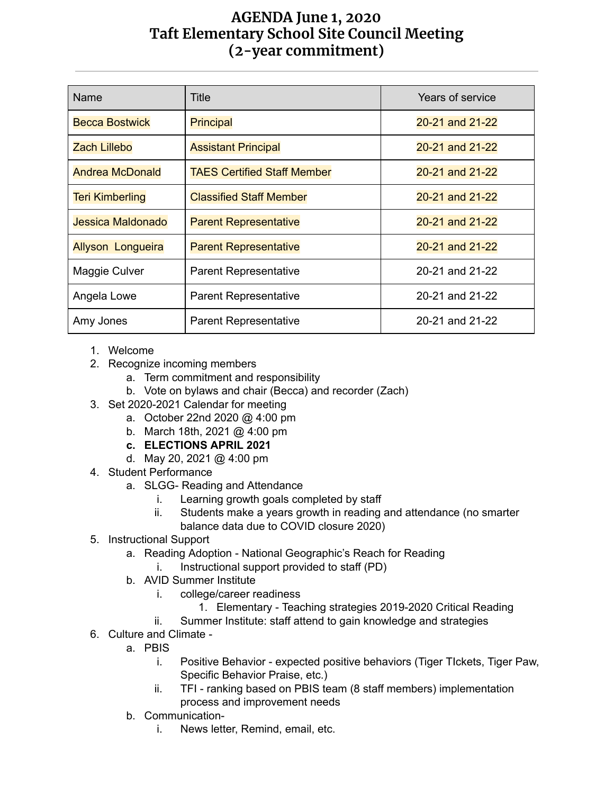## **AGENDA June 1, 2020 Taft Elementary School Site Council Meeting (2-year commitment)**

| Name                     | <b>Title</b>                       | Years of service |
|--------------------------|------------------------------------|------------------|
| <b>Becca Bostwick</b>    | <b>Principal</b>                   | 20-21 and 21-22  |
| <b>Zach Lillebo</b>      | <b>Assistant Principal</b>         | 20-21 and 21-22  |
| <b>Andrea McDonald</b>   | <b>TAES Certified Staff Member</b> | 20-21 and 21-22  |
| <b>Teri Kimberling</b>   | <b>Classified Staff Member</b>     | 20-21 and 21-22  |
| Jessica Maldonado        | <b>Parent Representative</b>       | 20-21 and 21-22  |
| <b>Allyson Longueira</b> | <b>Parent Representative</b>       | 20-21 and 21-22  |
| Maggie Culver            | <b>Parent Representative</b>       | 20-21 and 21-22  |
| Angela Lowe              | <b>Parent Representative</b>       | 20-21 and 21-22  |
| Amy Jones                | <b>Parent Representative</b>       | 20-21 and 21-22  |

- 1. Welcome
- 2. Recognize incoming members
	- a. Term commitment and responsibility
	- b. Vote on bylaws and chair (Becca) and recorder (Zach)
- 3. Set 2020-2021 Calendar for meeting
	- a. October 22nd 2020 @ 4:00 pm
	- b. March 18th, 2021 @ 4:00 pm
	- **c. ELECTIONS APRIL 2021**
	- d. May 20, 2021 @ 4:00 pm
- 4. Student Performance
	- a. SLGG- Reading and Attendance
		- i. Learning growth goals completed by staff
		- ii. Students make a years growth in reading and attendance (no smarter balance data due to COVID closure 2020)
- 5. Instructional Support
	- a. Reading Adoption National Geographic's Reach for Reading
		- i. Instructional support provided to staff (PD)
	- b. AVID Summer Institute
		- i. college/career readiness
			- 1. Elementary Teaching strategies 2019-2020 Critical Reading
		- ii. Summer Institute: staff attend to gain knowledge and strategies
- 6. Culture and Climate
	- a. PBIS
		- i. Positive Behavior expected positive behaviors (Tiger TIckets, Tiger Paw, Specific Behavior Praise, etc.)
		- ii. TFI ranking based on PBIS team (8 staff members) implementation process and improvement needs
	- b. Communication
		- i. News letter, Remind, email, etc.